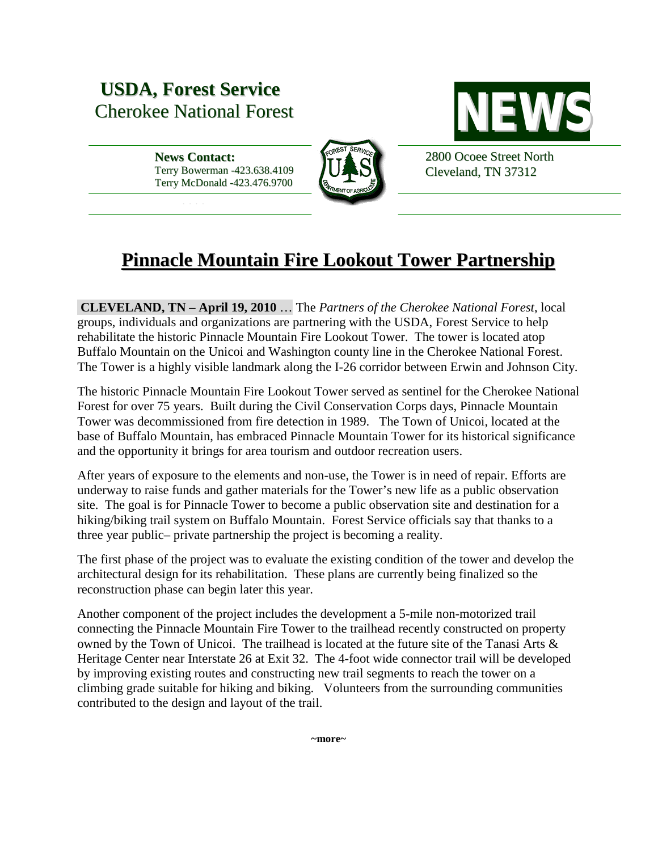## **USDA, Forest Service** Cherokee National Forest **NEW**

\*\*\*\*

**News Contact:** Terry Bowerman -423.638.4109 Terry McDonald -423.476.9700





2800 Ocoee Street North Cleveland, TN 37312

## **Pinnacle Mountain Fire Lookout Tower Partnership**

**CLEVELAND, TN – April 19, 2010** … The *Partners of the Cherokee National Forest*, local groups, individuals and organizations are partnering with the USDA, Forest Service to help rehabilitate the historic Pinnacle Mountain Fire Lookout Tower. The tower is located atop Buffalo Mountain on the Unicoi and Washington county line in the Cherokee National Forest. The Tower is a highly visible landmark along the I-26 corridor between Erwin and Johnson City.

The historic Pinnacle Mountain Fire Lookout Tower served as sentinel for the Cherokee National Forest for over 75 years. Built during the Civil Conservation Corps days, Pinnacle Mountain Tower was decommissioned from fire detection in 1989. The Town of Unicoi, located at the base of Buffalo Mountain, has embraced Pinnacle Mountain Tower for its historical significance and the opportunity it brings for area tourism and outdoor recreation users.

After years of exposure to the elements and non-use, the Tower is in need of repair. Efforts are underway to raise funds and gather materials for the Tower's new life as a public observation site. The goal is for Pinnacle Tower to become a public observation site and destination for a hiking/biking trail system on Buffalo Mountain. Forest Service officials say that thanks to a three year public– private partnership the project is becoming a reality.

The first phase of the project was to evaluate the existing condition of the tower and develop the architectural design for its rehabilitation. These plans are currently being finalized so the reconstruction phase can begin later this year.

Another component of the project includes the development a 5-mile non-motorized trail connecting the Pinnacle Mountain Fire Tower to the trailhead recently constructed on property owned by the Town of Unicoi. The trailhead is located at the future site of the Tanasi Arts & Heritage Center near Interstate 26 at Exit 32. The 4-foot wide connector trail will be developed by improving existing routes and constructing new trail segments to reach the tower on a climbing grade suitable for hiking and biking. Volunteers from the surrounding communities contributed to the design and layout of the trail.

**~more~**